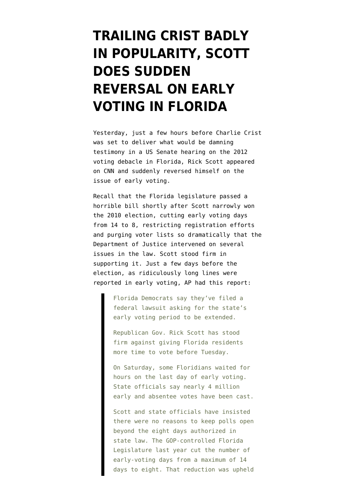## **[TRAILING CRIST BADLY](https://www.emptywheel.net/2012/12/20/trailing-crist-badly-in-popularity-scott-does-sudden-reversal-on-early-voting-in-florida/) [IN POPULARITY, SCOTT](https://www.emptywheel.net/2012/12/20/trailing-crist-badly-in-popularity-scott-does-sudden-reversal-on-early-voting-in-florida/) [DOES SUDDEN](https://www.emptywheel.net/2012/12/20/trailing-crist-badly-in-popularity-scott-does-sudden-reversal-on-early-voting-in-florida/) [REVERSAL ON EARLY](https://www.emptywheel.net/2012/12/20/trailing-crist-badly-in-popularity-scott-does-sudden-reversal-on-early-voting-in-florida/) [VOTING IN FLORIDA](https://www.emptywheel.net/2012/12/20/trailing-crist-badly-in-popularity-scott-does-sudden-reversal-on-early-voting-in-florida/)**

Yesterday, just a few hours before Charlie Crist was set to deliver what would be [damning](http://www.miamiherald.com/2012/12/19/3149128/charlie-crist-trashes-gov-rick.html) [testimony in a US Senate hearing on the 2012](http://www.miamiherald.com/2012/12/19/3149128/charlie-crist-trashes-gov-rick.html) [voting debacle in Florida,](http://www.miamiherald.com/2012/12/19/3149128/charlie-crist-trashes-gov-rick.html) Rick Scott appeared on CNN and [suddenly reversed himself on the](http://startingpoint.blogs.cnn.com/2012/12/19/florida-gov-scott-weve-got-to-restore-confidence-in-our-election/) [issue of early voting](http://startingpoint.blogs.cnn.com/2012/12/19/florida-gov-scott-weve-got-to-restore-confidence-in-our-election/).

Recall that the Florida legislature passed a horrible bill shortly after Scott narrowly won the 2010 election, cutting early voting days from 14 to 8, restricting registration efforts and purging voter lists so dramatically that the Department of Justice intervened on several issues in the law. Scott stood firm in supporting it. Just a few days before the election, as ridiculously long lines were reported in early voting, [AP had this report](http://bigstory.ap.org/article/fla-democrats-want-extended-early-voting-hours):

> Florida Democrats say they've filed a federal lawsuit asking for the state's early voting period to be extended.

Republican Gov. Rick Scott has stood firm against giving Florida residents more time to vote before Tuesday.

On Saturday, some Floridians waited for hours on the last day of early voting. State officials say nearly 4 million early and absentee votes have been cast.

Scott and state officials have insisted there were no reasons to keep polls open beyond the eight days authorized in state law. The GOP-controlled Florida Legislature last year cut the number of early-voting days from a maximum of 14 days to eight. That reduction was upheld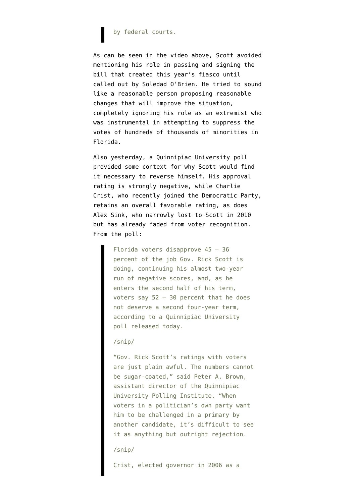## by federal courts.

As can be seen in the video above, Scott avoided mentioning his role in passing and signing the bill that created this year's fiasco until called out by Soledad O'Brien. He tried to sound like a reasonable person proposing reasonable changes that will improve the situation, completely ignoring his role as an extremist who was instrumental in attempting to suppress the votes of hundreds of thousands of minorities in Florida.

Also yesterday, a [Quinnipiac University poll](http://www.quinnipiac.edu/institutes-centers/polling-institute/florida/release-detail/?ReleaseID=1827) provided some context for why Scott would find it necessary to reverse himself. His approval rating is strongly negative, while Charlie Crist, who recently joined the Democratic Party, retains an overall favorable rating, as does Alex Sink, who narrowly lost to Scott in 2010 but has already faded from voter recognition. From the poll:

> Florida voters disapprove 45 – 36 percent of the job Gov. Rick Scott is doing, continuing his almost two-year run of negative scores, and, as he enters the second half of his term, voters say 52 – 30 percent that he does not deserve a second four-year term, according to a Quinnipiac University poll released today.

## /snip/

"Gov. Rick Scott's ratings with voters are just plain awful. The numbers cannot be sugar-coated," said Peter A. Brown, assistant director of the Quinnipiac University Polling Institute. "When voters in a politician's own party want him to be challenged in a primary by another candidate, it's difficult to see it as anything but outright rejection.

## /snip/

Crist, elected governor in 2006 as a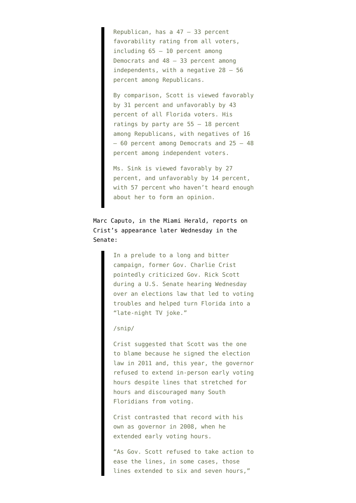Republican, has a 47 – 33 percent favorability rating from all voters, including 65 – 10 percent among Democrats and 48 – 33 percent among independents, with a negative 28 – 56 percent among Republicans.

By comparison, Scott is viewed favorably by 31 percent and unfavorably by 43 percent of all Florida voters. His ratings by party are 55 – 18 percent among Republicans, with negatives of 16 – 60 percent among Democrats and 25 – 48 percent among independent voters.

Ms. Sink is viewed favorably by 27 percent, and unfavorably by 14 percent, with 57 percent who haven't heard enough about her to form an opinion.

Marc Caputo, in the Miami Herald, [reports on](http://www.miamiherald.com/2012/12/19/3149128/charlie-crist-trashes-gov-rick.html) [Crist's appearance later Wednesday](http://www.miamiherald.com/2012/12/19/3149128/charlie-crist-trashes-gov-rick.html) in the Senate:

> In a prelude to a long and bitter campaign, former Gov. Charlie Crist pointedly criticized Gov. Rick Scott during a U.S. Senate hearing Wednesday over an elections law that led to voting troubles and helped turn Florida into a "late-night TV joke."

/snip/

Crist suggested that Scott was the one to blame because he signed the election law in 2011 and, this year, the governor refused to extend in-person early voting hours despite lines that stretched for hours and discouraged many South Floridians from voting.

Crist contrasted that record with his own as governor in 2008, when he extended early voting hours.

"As Gov. Scott refused to take action to ease the lines, in some cases, those lines extended to six and seven hours,"